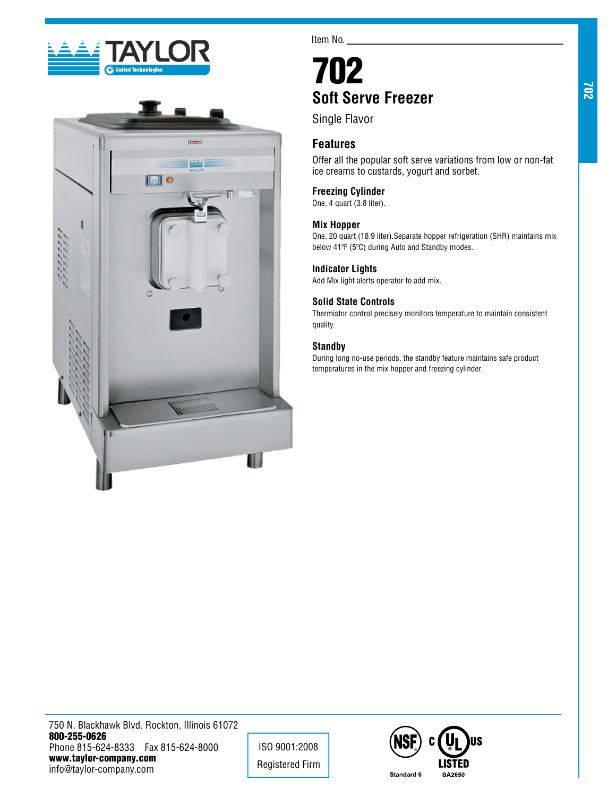



Item No.

# 702 **Soft Serve Freezer**

Single Flavor

## **Features**

Offer all the popular soft serve variations from low or non-fat ice creams to custards, yogurt and sorbet.

## **Freezing Cylinder**

One, 4 quart (3.8 liter).

#### **Mix Hopper**

One, 20 quart (18.9 liter).Separate hopper refrigeration (SHR) maintains mix below 41ºF (5ºC) during Auto and Standby modes.

#### **Indicator Lights**

Add Mix light alerts operator to add mix.

## **Solid State Controls**

Thermistor control precisely monitors temperature to maintain consistent quality.

### **Standby**

During long no-use periods, the standby feature maintains safe product temperatures in the mix hopper and freezing cylinder.

750 N. Blackhawk Blvd. Rockton, Illinois 61072 800-255-0626 Phone 815-624-8333 Fax 815-624-8000 www.taylor-company.com info@taylor-company.com